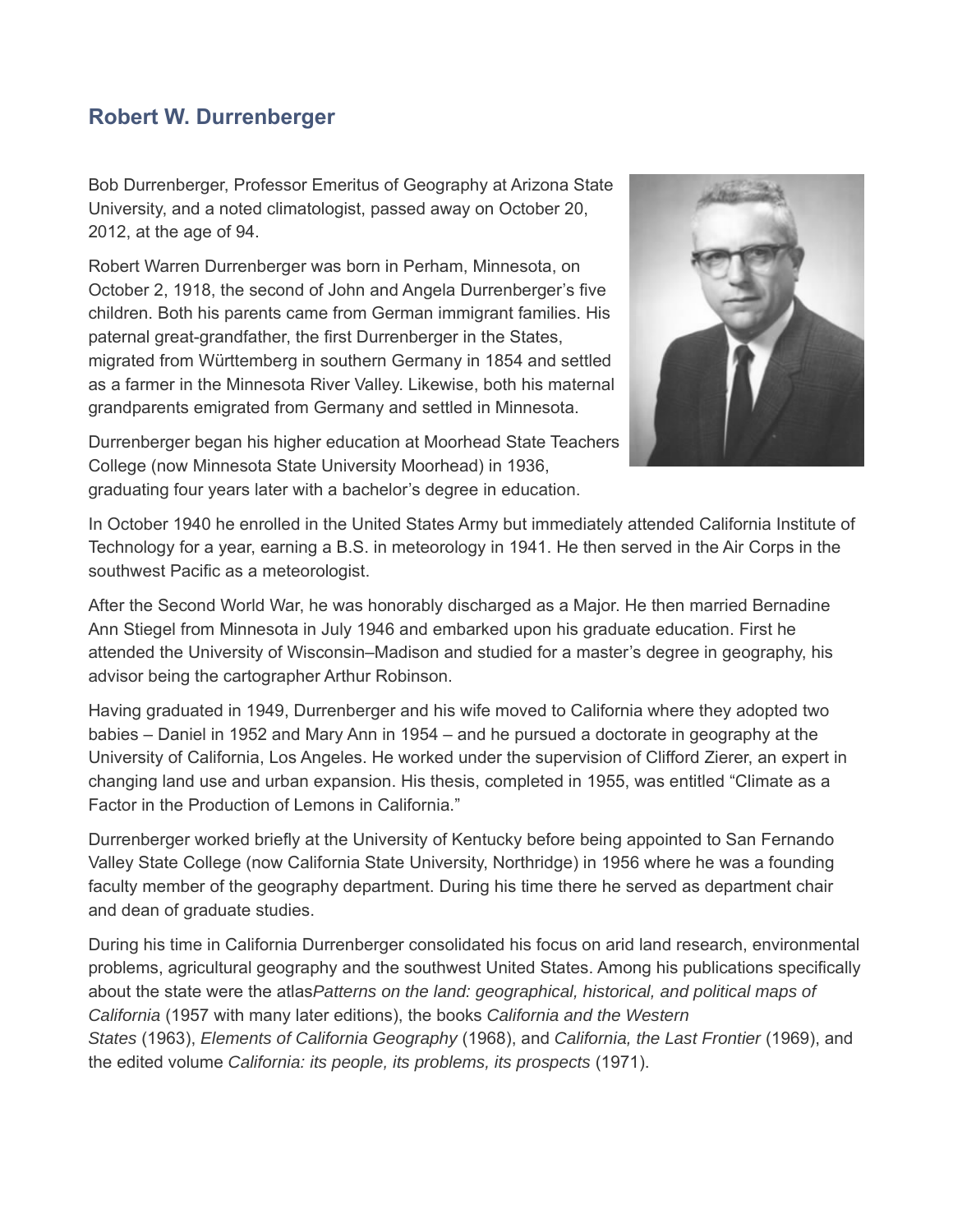## **Robert W. Durrenberger**

Bob Durrenberger, Professor Emeritus of Geography at Arizona State University, and a noted climatologist, passed away on October 20, 2012, at the age of 94.

Robert Warren Durrenberger was born in Perham, Minnesota, on October 2, 1918, the second of John and Angela Durrenberger's five children. Both his parents came from German immigrant families. His paternal great-grandfather, the first Durrenberger in the States, migrated from Württemberg in southern Germany in 1854 and settled as a farmer in the Minnesota River Valley. Likewise, both his maternal grandparents emigrated from Germany and settled in Minnesota.



Durrenberger began his higher education at Moorhead State Teachers College (now Minnesota State University Moorhead) in 1936, graduating four years later with a bachelor's degree in education.

In October 1940 he enrolled in the United States Army but immediately attended California Institute of Technology for a year, earning a B.S. in meteorology in 1941. He then served in the Air Corps in the southwest Pacific as a meteorologist.

After the Second World War, he was honorably discharged as a Major. He then married Bernadine Ann Stiegel from Minnesota in July 1946 and embarked upon his graduate education. First he attended the University of Wisconsin–Madison and studied for a master's degree in geography, his advisor being the cartographer Arthur Robinson.

Having graduated in 1949, Durrenberger and his wife moved to California where they adopted two babies – Daniel in 1952 and Mary Ann in 1954 – and he pursued a doctorate in geography at the University of California, Los Angeles. He worked under the supervision of Clifford Zierer, an expert in changing land use and urban expansion. His thesis, completed in 1955, was entitled "Climate as a Factor in the Production of Lemons in California."

Durrenberger worked briefly at the University of Kentucky before being appointed to San Fernando Valley State College (now California State University, Northridge) in 1956 where he was a founding faculty member of the geography department. During his time there he served as department chair and dean of graduate studies.

During his time in California Durrenberger consolidated his focus on arid land research, environmental problems, agricultural geography and the southwest United States. Among his publications specifically about the state were the atlas*Patterns on the land: geographical, historical, and political maps of California* (1957 with many later editions), the books *California and the Western States* (1963), *Elements of California Geography* (1968), and *California, the Last Frontier* (1969), and the edited volume *California: its people, its problems, its prospects* (1971).